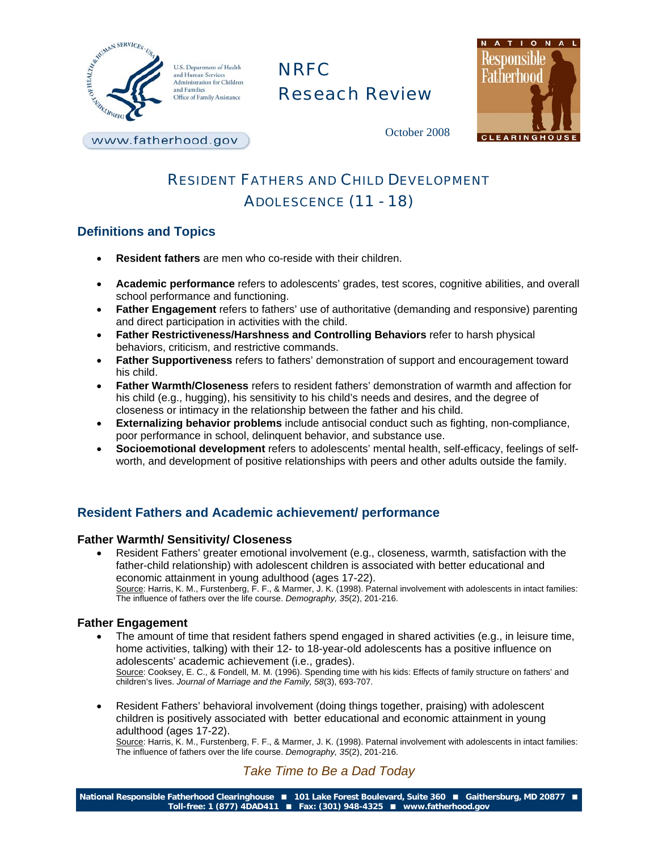

U.S. Department of Health and Human Services Administration for Children and Families Office of Family Assistance

# NRFC Reseach Review



October 2008

www.fatherhood.gov

## RESIDENT FATHERS AND CHILD DEVELOPMENT ADOLESCENCE (11 - 18)

## **Definitions and Topics**

- **Resident fathers** are men who co-reside with their children.
- **Academic performance** refers to adolescents' grades, test scores, cognitive abilities, and overall school performance and functioning.
- **Father Engagement** refers to fathers' use of authoritative (demanding and responsive) parenting and direct participation in activities with the child.
- **Father Restrictiveness/Harshness and Controlling Behaviors refer to harsh physical** behaviors, criticism, and restrictive commands.
- **Father Supportiveness** refers to fathers' demonstration of support and encouragement toward his child.
- **Father Warmth/Closeness** refers to resident fathers' demonstration of warmth and affection for his child (e.g., hugging), his sensitivity to his child's needs and desires, and the degree of closeness or intimacy in the relationship between the father and his child.
- **Externalizing behavior problems** include antisocial conduct such as fighting, non-compliance, poor performance in school, delinquent behavior, and substance use.
- **Socioemotional development** refers to adolescents' mental health, self-efficacy, feelings of selfworth, and development of positive relationships with peers and other adults outside the family.

## **Resident Fathers and Academic achievement/ performance**

#### **Father Warmth/ Sensitivity/ Closeness**

• Resident Fathers' greater emotional involvement (e.g., closeness, warmth, satisfaction with the father-child relationship) with adolescent children is associated with better educational and economic attainment in young adulthood (ages 17-22). Source: Harris, K. M., Furstenberg, F. F., & Marmer, J. K. (1998). Paternal involvement with adolescents in intact families: The influence of fathers over the life course. *Demography, 35*(2), 201-216.

#### **Father Engagement**

- The amount of time that resident fathers spend engaged in shared activities (e.g., in leisure time, home activities, talking) with their 12- to 18-year-old adolescents has a positive influence on adolescents' academic achievement (i.e., grades). Source: Cooksey, E. C., & Fondell, M. M. (1996). Spending time with his kids: Effects of family structure on fathers' and children's lives. *Journal of Marriage and the Family, 58*(3), 693-707.
- Resident Fathers' behavioral involvement (doing things together, praising) with adolescent children is positively associated with better educational and economic attainment in young adulthood (ages 17-22).

Source: Harris, K. M., Furstenberg, F. F., & Marmer, J. K. (1998). Paternal involvement with adolescents in intact families: The influence of fathers over the life course. *Demography, 35*(2), 201-216.

## *Take Time to Be a Dad Today*

**National Responsible Fatherhood Clearinghouse 101 Lake Forest Boulevard, Suite 360 Gaithersburg, MD 20877 Toll-free: 1 (877) 4DAD411 Fax: (301) 948-4325 www.fatherhood.gov**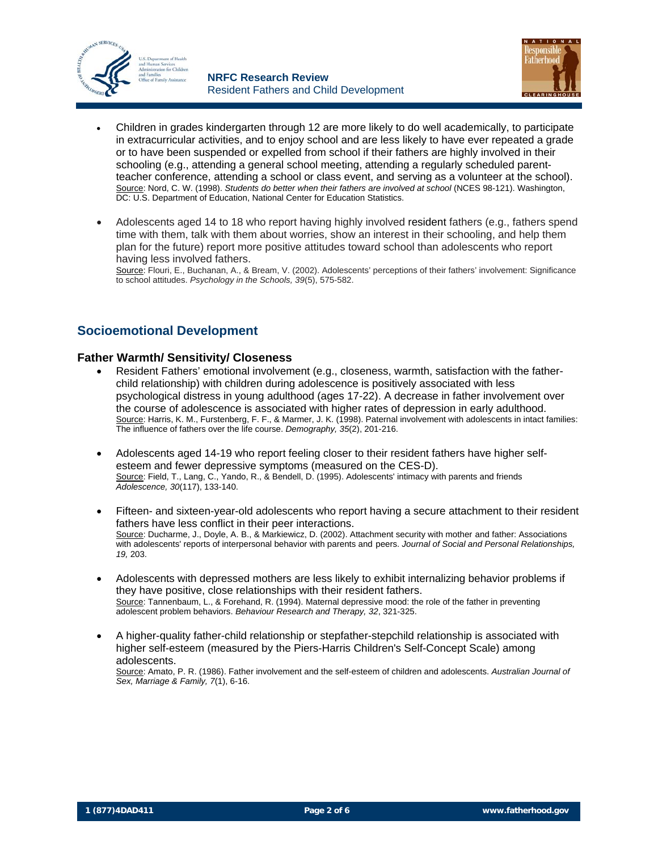



- Children in grades kindergarten through 12 are more likely to do well academically, to participate in extracurricular activities, and to enjoy school and are less likely to have ever repeated a grade or to have been suspended or expelled from school if their fathers are highly involved in their schooling (e.g., attending a general school meeting, attending a regularly scheduled parentteacher conference, attending a school or class event, and serving as a volunteer at the school).Source: Nord, C. W. (1998). *Students do better when their fathers are involved at school* (NCES 98-121). Washington, DC: U.S. Department of Education, National Center for Education Statistics.
- Adolescents aged 14 to 18 who report having highly involved resident fathers (e.g., fathers spend time with them, talk with them about worries, show an interest in their schooling, and help them plan for the future) report more positive attitudes toward school than adolescents who report having less involved fathers.

Source: Flouri, E., Buchanan, A., & Bream, V. (2002). Adolescents' perceptions of their fathers' involvement: Significance to school attitudes. *Psychology in the Schools, 39*(5), 575-582.

## **Socioemotional Development**

#### **Father Warmth/ Sensitivity/ Closeness**

- Resident Fathers' emotional involvement (e.g., closeness, warmth, satisfaction with the fatherchild relationship) with children during adolescence is positively associated with less psychological distress in young adulthood (ages 17-22). A decrease in father involvement over the course of adolescence is associated with higher rates of depression in early adulthood. Source: Harris, K. M., Furstenberg, F. F., & Marmer, J. K. (1998). Paternal involvement with adolescents in intact families: The influence of fathers over the life course. *Demography, 35*(2), 201-216.
- Adolescents aged 14-19 who report feeling closer to their resident fathers have higher selfesteem and fewer depressive symptoms (measured on the CES-D). Source: Field, T., Lang, C., Yando, R., & Bendell, D. (1995). Adolescents' intimacy with parents and friends *Adolescence, 30*(117), 133-140.
- Fifteen- and sixteen-year-old adolescents who report having a secure attachment to their resident fathers have less conflict in their peer interactions. Source: Ducharme, J., Doyle, A. B., & Markiewicz, D. (2002). Attachment security with mother and father: Associations with adolescents' reports of interpersonal behavior with parents and peers. *Journal of Social and Personal Relationships, 19,* 203.
- Adolescents with depressed mothers are less likely to exhibit internalizing behavior problems if they have positive, close relationships with their resident fathers. Source: Tannenbaum, L., & Forehand, R. (1994). Maternal depressive mood: the role of the father in preventing adolescent problem behaviors. *Behaviour Research and Therapy, 32*, 321-325.
- A higher-quality father-child relationship or stepfather-stepchild relationship is associated with higher self-esteem (measured by the Piers-Harris Children's Self-Concept Scale) among adolescents.

Source: Amato, P. R. (1986). Father involvement and the self-esteem of children and adolescents. *Australian Journal of Sex, Marriage & Family, 7*(1), 6-16.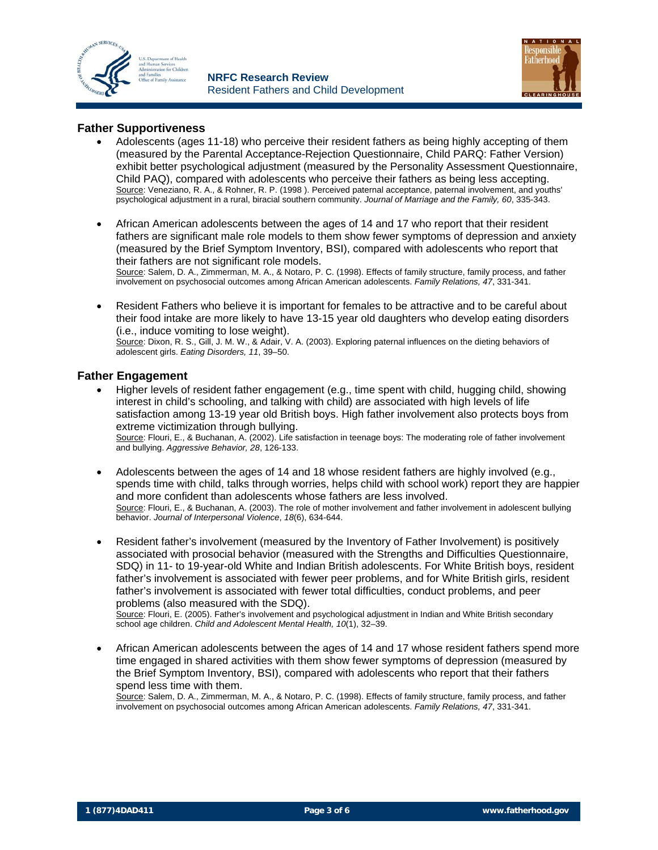



#### **Father Supportiveness**

- Adolescents (ages 11-18) who perceive their resident fathers as being highly accepting of them (measured by the Parental Acceptance-Rejection Questionnaire, Child PARQ: Father Version) exhibit better psychological adjustment (measured by the Personality Assessment Questionnaire, Child PAQ), compared with adolescents who perceive their fathers as being less accepting. Source: Veneziano, R. A., & Rohner, R. P. (1998 ). Perceived paternal acceptance, paternal involvement, and youths' psychological adjustment in a rural, biracial southern community. *Journal of Marriage and the Family, 60*, 335-343.
- African American adolescents between the ages of 14 and 17 who report that their resident fathers are significant male role models to them show fewer symptoms of depression and anxiety (measured by the Brief Symptom Inventory, BSI), compared with adolescents who report that their fathers are not significant role models.

Source: Salem, D. A., Zimmerman, M. A., & Notaro, P. C. (1998). Effects of family structure, family process, and father involvement on psychosocial outcomes among African American adolescents. *Family Relations, 47*, 331-341.

• Resident Fathers who believe it is important for females to be attractive and to be careful about their food intake are more likely to have 13-15 year old daughters who develop eating disorders (i.e., induce vomiting to lose weight).

Source: Dixon, R. S., Gill, J. M. W., & Adair, V. A. (2003). Exploring paternal influences on the dieting behaviors of adolescent girls. *Eating Disorders, 11*, 39–50.

#### **Father Engagement**

• Higher levels of resident father engagement (e.g., time spent with child, hugging child, showing interest in child's schooling, and talking with child) are associated with high levels of life satisfaction among 13-19 year old British boys. High father involvement also protects boys from extreme victimization through bullying.

Source: Flouri, E., & Buchanan, A. (2002). Life satisfaction in teenage boys: The moderating role of father involvement and bullying. *Aggressive Behavior, 28*, 126-133.

- Adolescents between the ages of 14 and 18 whose resident fathers are highly involved (e.g., spends time with child, talks through worries, helps child with school work) report they are happier and more confident than adolescents whose fathers are less involved. Source: Flouri, E., & Buchanan, A. (2003). The role of mother involvement and father involvement in adolescent bullying behavior. *Journal of Interpersonal Violence*, *18*(6), 634-644.
- Resident father's involvement (measured by the Inventory of Father Involvement) is positively associated with prosocial behavior (measured with the Strengths and Difficulties Questionnaire, SDQ) in 11- to 19-year-old White and Indian British adolescents. For White British boys, resident father's involvement is associated with fewer peer problems, and for White British girls, resident father's involvement is associated with fewer total difficulties, conduct problems, and peer problems (also measured with the SDQ).

Source: Flouri, E. (2005). Father's involvement and psychological adjustment in Indian and White British secondary school age children. *Child and Adolescent Mental Health, 10*(1), 32–39.

• African American adolescents between the ages of 14 and 17 whose resident fathers spend more time engaged in shared activities with them show fewer symptoms of depression (measured by the Brief Symptom Inventory, BSI), compared with adolescents who report that their fathers spend less time with them.

Source: Salem, D. A., Zimmerman, M. A., & Notaro, P. C. (1998). Effects of family structure, family process, and father involvement on psychosocial outcomes among African American adolescents. *Family Relations, 47*, 331-341.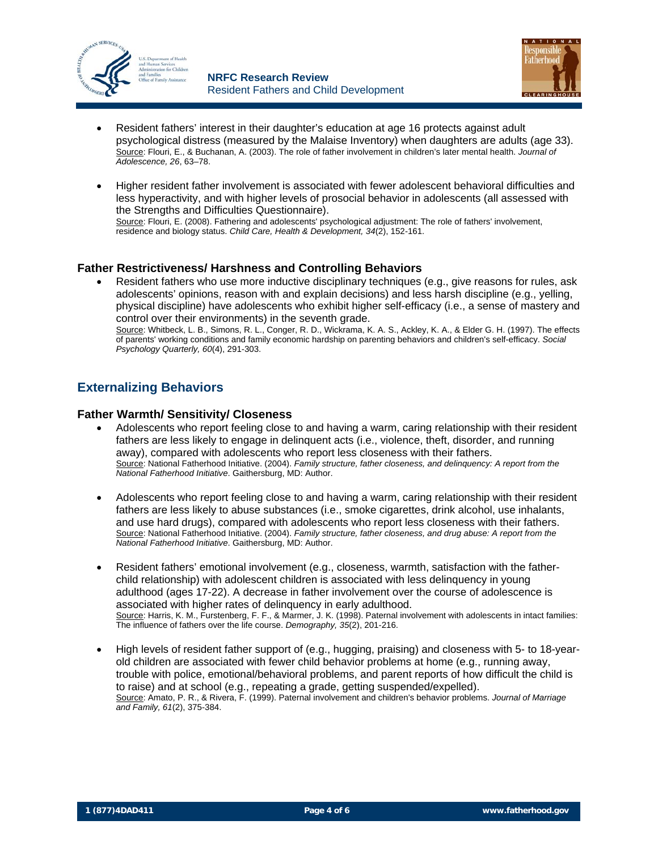



- Resident fathers' interest in their daughter's education at age 16 protects against adult psychological distress (measured by the Malaise Inventory) when daughters are adults (age 33). Source: Flouri, E., & Buchanan, A. (2003). The role of father involvement in children's later mental health. *Journal of Adolescence, 26*, 63–78.
- Higher resident father involvement is associated with fewer adolescent behavioral difficulties and less hyperactivity, and with higher levels of prosocial behavior in adolescents (all assessed with the Strengths and Difficulties Questionnaire). Source: Flouri, E. (2008). Fathering and adolescents' psychological adjustment: The role of fathers' involvement,

residence and biology status. *Child Care, Health & Development, 34*(2), 152-161.

#### **Father Restrictiveness/ Harshness and Controlling Behaviors**

• Resident fathers who use more inductive disciplinary techniques (e.g., give reasons for rules, ask adolescents' opinions, reason with and explain decisions) and less harsh discipline (e.g., yelling, physical discipline) have adolescents who exhibit higher self-efficacy (i.e., a sense of mastery and control over their environments) in the seventh grade.

Source: Whitbeck, L. B., Simons, R. L., Conger, R. D., Wickrama, K. A. S., Ackley, K. A., & Elder G. H. (1997). The effects of parents' working conditions and family economic hardship on parenting behaviors and children's self-efficacy. *Social Psychology Quarterly, 60*(4), 291-303.

## **Externalizing Behaviors**

#### **Father Warmth/ Sensitivity/ Closeness**

- Adolescents who report feeling close to and having a warm, caring relationship with their resident fathers are less likely to engage in delinquent acts (i.e., violence, theft, disorder, and running away), compared with adolescents who report less closeness with their fathers. Source: National Fatherhood Initiative. (2004). *Family structure, father closeness, and delinquency: A report from the National Fatherhood Initiative*. Gaithersburg, MD: Author.
- Adolescents who report feeling close to and having a warm, caring relationship with their resident fathers are less likely to abuse substances (i.e., smoke cigarettes, drink alcohol, use inhalants, and use hard drugs), compared with adolescents who report less closeness with their fathers. Source: National Fatherhood Initiative. (2004). *Family structure, father closeness, and drug abuse: A report from the National Fatherhood Initiative*. Gaithersburg, MD: Author.
- Resident fathers' emotional involvement (e.g., closeness, warmth, satisfaction with the fatherchild relationship) with adolescent children is associated with less delinquency in young adulthood (ages 17-22). A decrease in father involvement over the course of adolescence is associated with higher rates of delinquency in early adulthood. Source: Harris, K. M., Furstenberg, F. F., & Marmer, J. K. (1998). Paternal involvement with adolescents in intact families: The influence of fathers over the life course. *Demography, 35*(2), 201-216.
- High levels of resident father support of (e.g., hugging, praising) and closeness with 5- to 18-yearold children are associated with fewer child behavior problems at home (e.g., running away, trouble with police, emotional/behavioral problems, and parent reports of how difficult the child is to raise) and at school (e.g., repeating a grade, getting suspended/expelled). Source: Amato, P. R., & Rivera, F. (1999). Paternal involvement and children's behavior problems. *Journal of Marriage and Family, 61*(2), 375-384.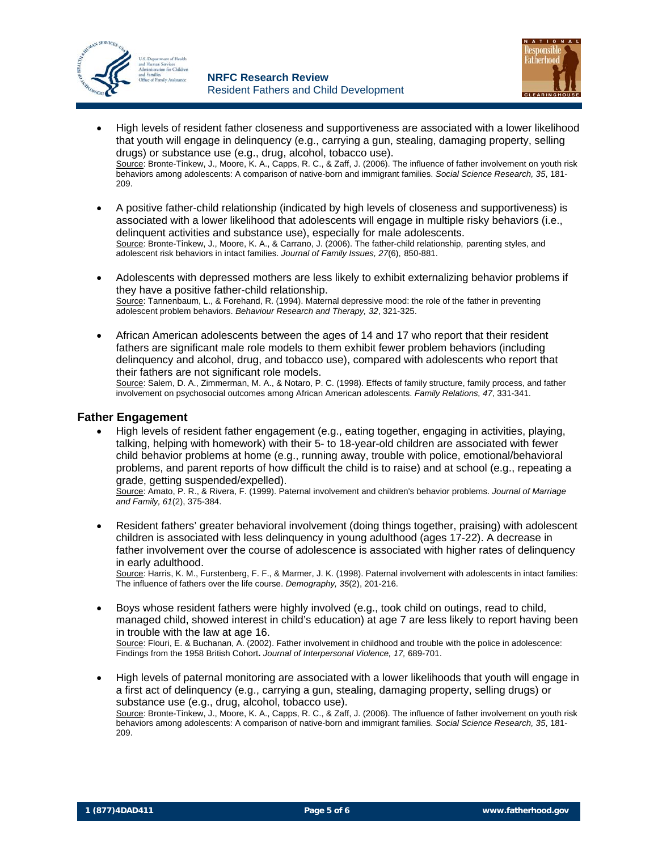



- High levels of resident father closeness and supportiveness are associated with a lower likelihood that youth will engage in delinquency (e.g., carrying a gun, stealing, damaging property, selling drugs) or substance use (e.g., drug, alcohol, tobacco use). Source: Bronte-Tinkew, J., Moore, K. A., Capps, R. C., & Zaff, J. (2006). The influence of father involvement on youth risk behaviors among adolescents: A comparison of native-born and immigrant families. *Social Science Research, 35*, 181- 209.
- A positive father-child relationship (indicated by high levels of closeness and supportiveness) is associated with a lower likelihood that adolescents will engage in multiple risky behaviors (i.e., delinquent activities and substance use), especially for male adolescents. Source: Bronte-Tinkew, J., Moore, K. A., & Carrano, J. (2006). The father-child relationship, parenting styles, and adolescent risk behaviors in intact families. *Journal of Family Issues, 27*(6), 850-881.
- Adolescents with depressed mothers are less likely to exhibit externalizing behavior problems if they have a positive father-child relationship. Source: Tannenbaum, L., & Forehand, R. (1994). Maternal depressive mood: the role of the father in preventing adolescent problem behaviors. *Behaviour Research and Therapy, 32*, 321-325.
- African American adolescents between the ages of 14 and 17 who report that their resident fathers are significant male role models to them exhibit fewer problem behaviors (including delinquency and alcohol, drug, and tobacco use), compared with adolescents who report that their fathers are not significant role models. Source: Salem, D. A., Zimmerman, M. A., & Notaro, P. C. (1998). Effects of family structure, family process, and father

involvement on psychosocial outcomes among African American adolescents. *Family Relations, 47*, 331-341.

#### **Father Engagement**

• High levels of resident father engagement (e.g., eating together, engaging in activities, playing, talking, helping with homework) with their 5- to 18-year-old children are associated with fewer child behavior problems at home (e.g., running away, trouble with police, emotional/behavioral problems, and parent reports of how difficult the child is to raise) and at school (e.g., repeating a grade, getting suspended/expelled).

Source: Amato, P. R., & Rivera, F. (1999). Paternal involvement and children's behavior problems. *Journal of Marriage and Family, 61*(2), 375-384.

• Resident fathers' greater behavioral involvement (doing things together, praising) with adolescent children is associated with less delinquency in young adulthood (ages 17-22). A decrease in father involvement over the course of adolescence is associated with higher rates of delinquency in early adulthood.

Source: Harris, K. M., Furstenberg, F. F., & Marmer, J. K. (1998). Paternal involvement with adolescents in intact families: The influence of fathers over the life course. *Demography, 35*(2), 201-216.

- Boys whose resident fathers were highly involved (e.g., took child on outings, read to child, managed child, showed interest in child's education) at age 7 are less likely to report having been in trouble with the law at age 16. Source: Flouri, E. & Buchanan, A. (2002). Father involvement in childhood and trouble with the police in adolescence: Findings from the 1958 British Cohort**.** *Journal of Interpersonal Violence, 17,* 689-701.
- High levels of paternal monitoring are associated with a lower likelihoods that youth will engage in a first act of delinquency (e.g., carrying a gun, stealing, damaging property, selling drugs) or substance use (e.g., drug, alcohol, tobacco use). Source: Bronte-Tinkew, J., Moore, K. A., Capps, R. C., & Zaff, J. (2006). The influence of father involvement on youth risk behaviors among adolescents: A comparison of native-born and immigrant families. *Social Science Research, 35*, 181- 209.